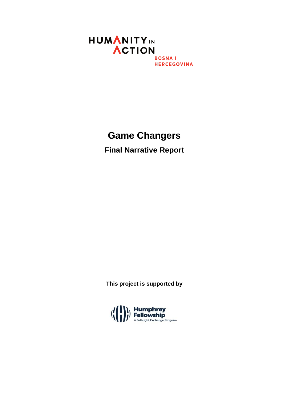

## **Game Changers**

**Final Narrative Report**

**This project is supported by**

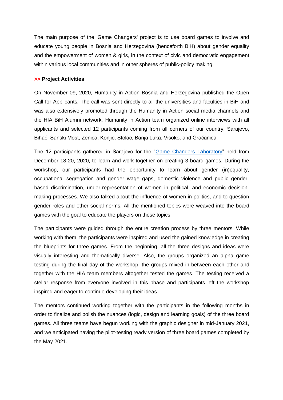The main purpose of the 'Game Changers' project is to use board games to involve and educate young people in Bosnia and Herzegovina (henceforth BiH) about gender equality and the empowerment of women & girls, in the context of civic and democratic engagement within various local communities and in other spheres of public-policy making.

## **>> Project Activities**

On November 09, 2020, Humanity in Action Bosnia and Herzegovina published the Open Call for Applicants. The call was sent directly to all the universities and faculties in BiH and was also extensively promoted through the Humanity in Action social media channels and the HIA BiH Alumni network. Humanity in Action team organized online interviews with all applicants and selected 12 participants coming from all corners of our country: Sarajevo, Bihać, Sanski Most, Zenica, Konjic, Stolac, Banja Luka, Visoko, and Gračanica.

The 12 participants gathered in Sarajevo for the ["Game Changers Laboratory"](https://www.youtube.com/watch?v=L7fmiVMd9eU) held from December 18-20, 2020, to learn and work together on creating 3 board games. During the workshop, our participants had the opportunity to learn about gender (in)equality, occupational segregation and gender wage gaps, domestic violence and public genderbased discrimination, under-representation of women in political, and economic decisionmaking processes. We also talked about the influence of women in politics, and to question gender roles and other social norms. All the mentioned topics were weaved into the board games with the goal to educate the players on these topics.

The participants were guided through the entire creation process by three mentors. While working with them, the participants were inspired and used the gained knowledge in creating the blueprints for three games. From the beginning, all the three designs and ideas were visually interesting and thematically diverse. Also, the groups organized an alpha game testing during the final day of the workshop; the groups mixed in-between each other and together with the HIA team members altogether tested the games. The testing received a stellar response from everyone involved in this phase and participants left the workshop inspired and eager to continue developing their ideas.

The mentors continued working together with the participants in the following months in order to finalize and polish the nuances (logic, design and learning goals) of the three board games. All three teams have begun working with the graphic designer in mid-January 2021, and we anticipated having the pilot-testing ready version of three board games completed by the May 2021.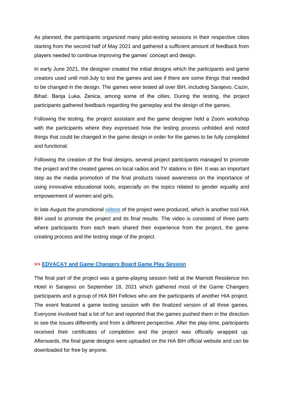As planned, the participants organized many pilot-testing sessions in their respective cities starting from the second half of May 2021 and gathered a sufficient amount of feedback from players needed to continue improving the games' concept and design.

In early June 2021, the designer created the initial designs which the participants and game creators used until mid-July to test the games and see if there are some things that needed to be changed in the design. The games were tested all over BiH, including Sarajevo, Cazin, Bihać. Banja Luka, Zenica, among some of the cities. During the testing, the project participants gathered feedback regarding the gameplay and the design of the games.

Following the testing, the project assistant and the game designer held a Zoom workshop with the participants where they expressed how the testing process unfolded and noted things that could be changed in the game design in order for the games to be fully completed and functional.

Following the creation of the final designs, several project participants managed to promote the project and the created games on local radios and TV stations in BiH. It was an important step as the media promotion of the final products raised awareness on the importance of using innovative educational tools, especially on the topics related to gender equality and empowerment of women and girls.

In late August the promotional [videos](https://www.youtube.com/watch?v=8Vw3QZbuP_Y) of the project were produced, which is another tool HiA BiH used to promote the project and its final results. The video is consisted of three parts where participants from each team shared their experience from the project, the game creating process and the testing stage of the project.

## **>> [EDVACAY and Game Changers Board Game Play Session](https://www.humanityinaction.org/event/edvacay-and-game-changers-fellows-meet-for-a-board-game-play-session/)**

The final part of the project was a game-playing session held at the Marriott Residence Inn Hotel in Sarajevo on September 18, 2021 which gathered most of the Game Changers participants and a group of HIA BiH Fellows who are the participants of another HIA project. The event featured a game testing session with the finalized version of all three games. Everyone involved had a lot of fun and reported that the games pushed them in the direction to see the issues differently and from a different perspective. After the play-time, participants received their certificates of completion and the project was officially wrapped up. Afterwards, the final game designs were uploaded on the HiA BiH official website and can be downloaded for free by anyone.